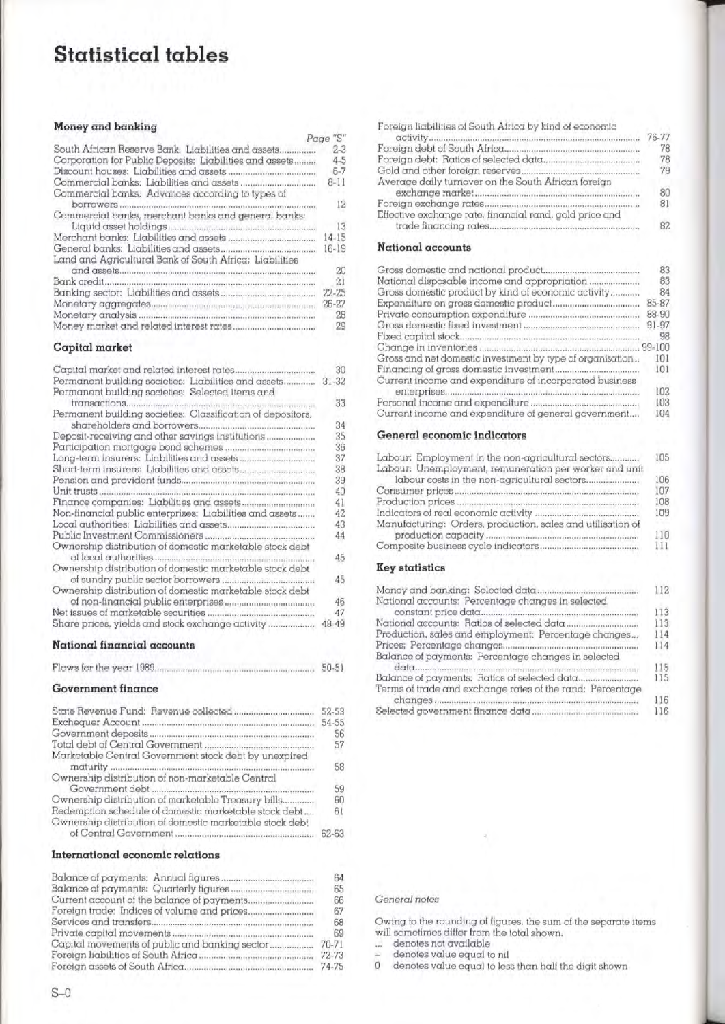# **Statistical tables**

#### **Money and banking**

|                                                                                                                                                                   | Page "S"                                |
|-------------------------------------------------------------------------------------------------------------------------------------------------------------------|-----------------------------------------|
| South African Reserve Bank: Liabilities and assets<br>Corporation for Public Deposits: Liabilities and assets<br>Commercial banks: Advances according to types of | $2-3$<br>$4 - 5$<br>$6 - 7$<br>$8 - 11$ |
| borrowers<br>Commercial banks, merchant banks and general banks:                                                                                                  | 12                                      |
|                                                                                                                                                                   | 13                                      |
|                                                                                                                                                                   | $14 - 15$                               |
| Land and Agricultural Bank of South Africa: Liabilities                                                                                                           | $16 - 19$                               |
|                                                                                                                                                                   | 20                                      |
|                                                                                                                                                                   | 21                                      |
|                                                                                                                                                                   | $22 - 25$                               |
|                                                                                                                                                                   | $26 - 27$                               |
|                                                                                                                                                                   | 28                                      |
|                                                                                                                                                                   | 29                                      |

# **Capital market**

|                                                             | 30        |
|-------------------------------------------------------------|-----------|
| Permanent building societies: Liabilities and assets        | $31 - 32$ |
| Permanent building societies: Selected items and            |           |
| transactions.                                               | 33        |
| Permanent building societies: Classification of depositors, |           |
| shareholders and borrowers                                  | 34        |
| Deposit-receiving and other savings institutions            | 35        |
|                                                             | 36        |
|                                                             | 37        |
|                                                             | 38        |
|                                                             | 39        |
|                                                             | 40        |
|                                                             |           |
|                                                             | 41        |
| Non-financial public enterprises: Liabilities and assets    | 42        |
|                                                             | 43        |
| Public Investment Commissioners                             | 44        |
| Ownership distribution of domestic marketable stock debt    |           |
|                                                             | 45        |
| Ownership distribution of domestic marketable stock debt    |           |
| of sundry public sector borrowers.                          | 45        |
| Ownership distribution of domestic marketable stock debt    |           |
|                                                             |           |
|                                                             | 46        |
|                                                             | 47        |
| Share prices, yields and stock exchange activity            | 48-49     |

# **National financial accounts**

|  | 50-51 |
|--|-------|
|--|-------|

# **Government finance**

|                                                          | 52-53 |
|----------------------------------------------------------|-------|
|                                                          | 54-55 |
|                                                          | 56    |
|                                                          | 57    |
| Marketable Central Government stock debt by unexpired    |       |
|                                                          | 58    |
| Ownership distribution of non-marketable Central         | 59    |
| Ownership distribution of marketable Treasury bills      | 60    |
| Redemption schedule of domestic marketable stock debt    | 61    |
| Ownership distribution of domestic marketable stock debt |       |
|                                                          | 62-63 |
|                                                          |       |

# **International economic relations**

|                                                | 64        |
|------------------------------------------------|-----------|
|                                                | 65        |
|                                                | 66        |
|                                                | 67        |
|                                                | 68        |
|                                                | 69        |
| Capital movements of public and banking sector | $70 - 71$ |
|                                                | 72-73     |
|                                                | $74 - 75$ |

| Foreign liabilities of South Africa by kind of economic |           |
|---------------------------------------------------------|-----------|
|                                                         | $76 - 77$ |
| Foreign debt of South Africa                            | 78        |
|                                                         | 78        |
|                                                         | 79        |
| Average daily turnover on the South African foreign     |           |
|                                                         | 81        |
| Effective exchange rate, financial rand, gold price and |           |

## **National accounts**

|                                                           | 83        |
|-----------------------------------------------------------|-----------|
| National disposable income and appropriation              | 83        |
| Gross domestic product by kind of economic activity       | 84        |
|                                                           | 85-87     |
|                                                           | 88-90     |
|                                                           | $91 - 97$ |
|                                                           | 98        |
|                                                           | 99-100    |
| Gross and net domestic investment by type of organisation | 101       |
|                                                           | 101       |
| Current income and expenditure of incorporated business   |           |
|                                                           | 102       |
|                                                           | 103       |
| Current income and expenditure of general government      | 104       |

#### **General economic indicators**

| Labour: Employment in the non-agricultural sectors          | 105 |
|-------------------------------------------------------------|-----|
| Labour: Unemployment, remuneration per worker and unit      |     |
| labour costs in the non-agricultural sectors                | 106 |
|                                                             | 107 |
|                                                             | 108 |
|                                                             | 109 |
| Manufacturing: Orders, production, sales and utilisation of |     |
|                                                             | 110 |
|                                                             | Ш   |
|                                                             |     |

# **Key statistics**

|                                                           | 112 |
|-----------------------------------------------------------|-----|
| National accounts: Percentage changes in selected         |     |
|                                                           | 113 |
|                                                           | 113 |
| Production, sales and employment: Percentage changes      | 114 |
|                                                           | 114 |
| Balance of payments: Percentage changes in selected       |     |
| data.                                                     | 115 |
| Balance of payments: Ratios of selected data              | 115 |
| Terms of trade and exchange rates of the rand: Percentage |     |
|                                                           | 116 |
|                                                           | 116 |
|                                                           |     |

# General notes

Owing to the rounding of figures, the sum of the separate items will sometimes differ from the total shown.

denotes not available

denotes value equal to nil

o denotes value equal to less than half the digit shown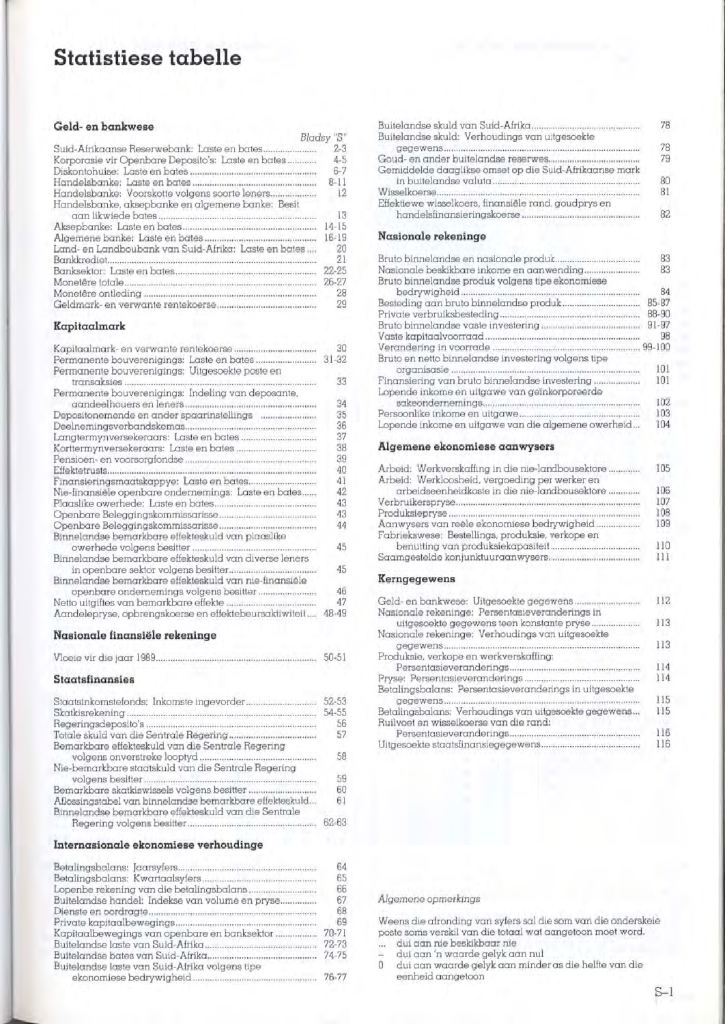# **Statistiese tabelle**

#### **Ge ld- en bankwese**

|                                                      | Bladsy "S"       |
|------------------------------------------------------|------------------|
| Suid-Afrikaanse Reserwebank: Laste en bates          | $2 - 3$          |
| Korporasie vir Openbare Deposito's: Laste en bates   | $4 - 5$<br>$6-7$ |
|                                                      | $8 - 11$         |
| Handelsbanke: Voorskotte volgens soorte leners       | 12               |
| Handelsbanke, aksepbanke en algemene banke: Besit    | $\frac{13}{2}$   |
| Aksepbanke: Laste en bates                           | $14 - 15$        |
|                                                      | $16 - 19$        |
| Land- en Landboubank van Suid-Afrika: Laste en bates | - 20             |
|                                                      | 21<br>$22 - 25$  |
|                                                      | $26 - 27$        |
|                                                      | 28               |
|                                                      | 29               |

# **Kapitaalmark**

|                                                        | 30        |
|--------------------------------------------------------|-----------|
|                                                        | $31 - 32$ |
| Permanente bouverenigings: Uitgesoekte poste en        |           |
|                                                        | 33        |
| Permanente bouverenigings: Indeling van deposante,     |           |
|                                                        | 34        |
| Depositonemende en ander spaarinstellings              | 35        |
|                                                        | 36        |
|                                                        | 37        |
|                                                        | 38        |
|                                                        | 39        |
| Effektetrusts                                          | 40        |
|                                                        | 41        |
| Nie-finansiële openbare ondernemings: Laste en bates   | 42        |
|                                                        | 43        |
|                                                        | 43        |
|                                                        | 44        |
| Binnelandse bemarkbare effekteskuld van plaaslike      |           |
| owerhede volgens besitter                              | 45        |
| Binnelandse bemarkbare effekteskuld van diverse leners |           |
| in openbare sektor volgens besitter                    | 45        |
| Binnelandse bemarkbare effekteskuld van nie-finansiële |           |
| openbare ondernemings volgens besitter                 | 46        |
|                                                        | 47        |
| Aandelepryse, opbrengskoerse en effektebeursaktiwiteit | 48-49     |
|                                                        |           |
|                                                        |           |

#### **Nasionale finansiEHe rekeninge**

|  | 50-51 |
|--|-------|
|--|-------|

#### **Staatsfinansies**

| Staatsinkomstefonds: Inkomste ingevorder                | $52 - 53$ |
|---------------------------------------------------------|-----------|
|                                                         | 54-55     |
|                                                         | 56        |
|                                                         | 57        |
| Bemarkbare effekteskuld van die Sentrale Regering       |           |
|                                                         | 58        |
| Nie-bemarkbare staatskuld van die Sentrale Regering     |           |
|                                                         | 59        |
|                                                         | 60        |
| Aflossingstabel van binnelandse bemarkbare effekteskuld | 61        |
| Binnelandse bemarkbare effekteskuld van die Sentrale    |           |
|                                                         | 62-63     |
|                                                         |           |

## **Internasionale ekonomiese verhoudinge**

|                                                 | 64        |
|-------------------------------------------------|-----------|
|                                                 | 65        |
|                                                 | 66        |
| Buitelandse handel: Indekse van volume en pryse | 67        |
|                                                 | 68        |
|                                                 | 69        |
| Kapitaalbewegings van openbare en banksektor    | 70-71     |
|                                                 | 72-73     |
|                                                 | 74-75     |
| Buitelandse laste van Suid-Afrika volgens tipe  |           |
| ekonomiese bedrywigheid                         | $76 - 77$ |

| Buitelandse skuld: Verhoudings van uitgesoekte         |     |
|--------------------------------------------------------|-----|
|                                                        | 78  |
|                                                        | 79  |
| Gemiddelde daaglikse omset op die Suid-Afrikaanse mark |     |
|                                                        | 80  |
| Wisselkoerse…………………………………………………………………………               | 81  |
| Effektiewe wisselkoers, finansiële rand, goudprys en   |     |
|                                                        | 82. |
|                                                        |     |

#### **N asionale rekeninge**

| Bruto binnelandse en nasionale produk                                                         | 83        |
|-----------------------------------------------------------------------------------------------|-----------|
| Nasionale beskikbare inkome en aanwending<br>Bruto binnelandse produk volgens tipe ekonomiese | 83        |
| bedrywigheid                                                                                  | 84        |
|                                                                                               | 85-87     |
| Private verbruiksbesteding                                                                    | 88-90     |
|                                                                                               | $91 - 97$ |
|                                                                                               | 98        |
|                                                                                               | 99-100    |
| Bruto en netto binnelandse investering volgens tipe                                           |           |
| organisasie                                                                                   | 101       |
| Finansiering van bruto binnelandse investering                                                | 101       |
| Lopende inkome en uitgawe van geïnkorporeerde                                                 |           |
|                                                                                               | 102       |
|                                                                                               | 103       |
| Lopende inkome en uitgawe van die algemene owerheid                                           | 104       |

### **Algemene ekonomiese aanwysers**

| Arbeid: Werkverskaffing in die nie-landbousektore    | 105 |
|------------------------------------------------------|-----|
| Arbeid: Werkloosheid, vergoeding per werker en       |     |
| 106<br>arbeidseenheidkoste in die nie-landbousektore |     |
| 107                                                  |     |
| 108                                                  |     |
| 109<br>Aanwysers van reële ekonomiese bedrywigheid   |     |
| Fabriekswese: Bestellings, produksie, verkope en     |     |
| 110                                                  |     |
| 111                                                  |     |

#### **Kerngegewens**

|                                                                                                                                                  | 12  |
|--------------------------------------------------------------------------------------------------------------------------------------------------|-----|
| Nasionale rekeninge: Persentasieveranderings in<br>uitgesoekte gegewens teen konstante pryse<br>Nasionale rekeninge: Verhoudings van uitgesoekte | 113 |
|                                                                                                                                                  | 113 |
| Produksie, verkope en werkverskaffing:                                                                                                           | 14  |
| Betalingsbalans: Persentasieveranderings in uitgesoekte                                                                                          | 14  |
|                                                                                                                                                  | 115 |
| Betalingsbalans: Verhoudings van uitgesoekte gegewens                                                                                            | 15  |
| Ruilvoet en wisselkoerse van die rand:                                                                                                           |     |
|                                                                                                                                                  | 16  |
|                                                                                                                                                  | 16  |

### *Algemene* opmerkings

Weens die afronding van syfers sal die som van die onderskeie poste soms verskil van die totaal wat aangetoon moet word. dui aan nie beskikbaar nie

dui aan 'n waarde gelyk aan nul ь

o dui aan waarde gelyk aan minder as die helfte van die eenheid aangetoon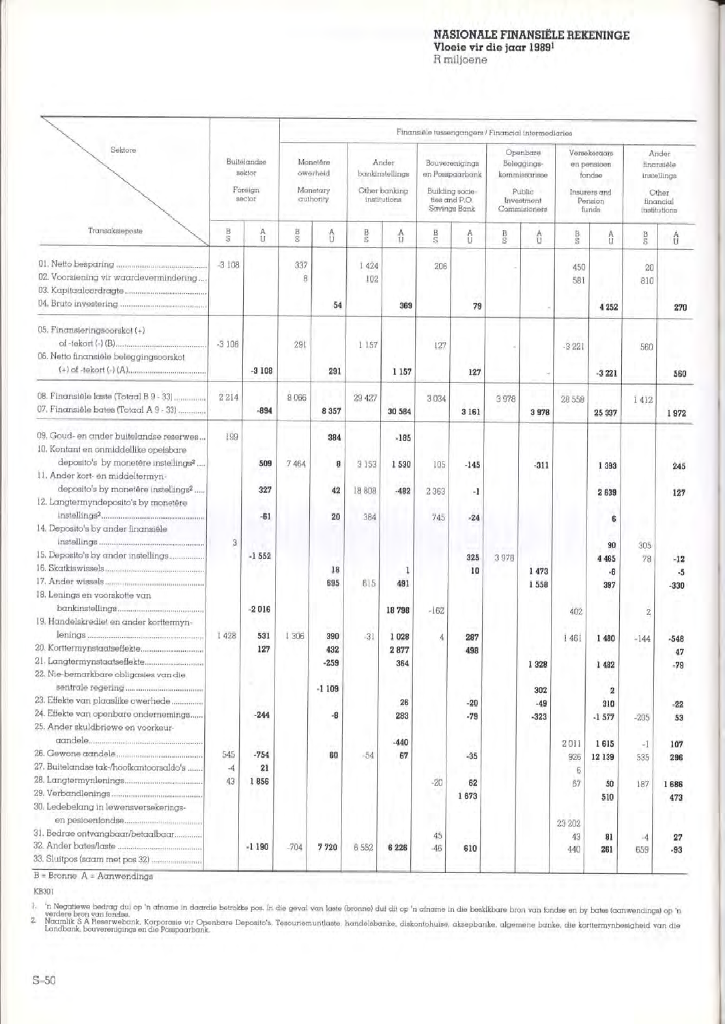#### NASION ALE **F1NANSIELE REKENINGE Vloeie vir die jaar 1989<sup>1</sup>** R miljoene

| Sektore                                                                                                                                                                                                                                                                                                   |                   | Buitelandse<br>soktor<br>Foreign<br>sector |          | Monetáre<br>owerheld<br>Monetary<br>authority. |                          | Ander<br>bankinstellings<br>Other banking<br>institutions |                       | Finansièle tussengangers / Financial intermediaries<br>Bouverenigings<br>en Posspaarbank<br>Building socie-<br>ties and P.O.<br>Savings Bank |               | Openbare<br>Beleggings-<br>kommissarisse<br>Public<br>Investment<br>Commisioners |                        | Versekeraars<br>en pensioen<br>fondso<br>Insurers and<br>Pension<br>funds |                  | Ander<br>fincmsièle<br>instellings<br>Other<br>financial<br>tristitutions |
|-----------------------------------------------------------------------------------------------------------------------------------------------------------------------------------------------------------------------------------------------------------------------------------------------------------|-------------------|--------------------------------------------|----------|------------------------------------------------|--------------------------|-----------------------------------------------------------|-----------------------|----------------------------------------------------------------------------------------------------------------------------------------------|---------------|----------------------------------------------------------------------------------|------------------------|---------------------------------------------------------------------------|------------------|---------------------------------------------------------------------------|
| Transaksieposte                                                                                                                                                                                                                                                                                           | tom               | â                                          | 医        | û                                              | $\frac{B}{S}$            | $\frac{A}{U}$                                             | <b>S</b>              | 츕                                                                                                                                            | $\frac{B}{S}$ | û                                                                                | ts co                  | â                                                                         | $\frac{B}{S}$    | û                                                                         |
| 02. Voorsiening vir waardevermindering                                                                                                                                                                                                                                                                    | $-3.108$          |                                            | 337<br>8 | 54                                             | 1424<br>102              | 369                                                       | 206                   | 79                                                                                                                                           |               |                                                                                  | 450<br>581             | 4 25 2                                                                    | 20<br>810        | 270                                                                       |
| 05. Finansieringsoorskot (+)<br>06. Netto finansiële beleggingsoorskot                                                                                                                                                                                                                                    | $-3108$           | $-3108$                                    | 291      | 291                                            | 1 157                    | 1 157                                                     | 127                   | 127                                                                                                                                          |               |                                                                                  | $-3221$                | $-3221$                                                                   | 560              | 560                                                                       |
| 08. Finansièle laste (Totaal B 9 - 33)<br>07. Finansièle bates (Totaal A 9 - 33)                                                                                                                                                                                                                          | 2214              | $-894$                                     | 8 0 6 6  | 8357                                           | 29 427                   | 30 584                                                    | 3034                  | 3161                                                                                                                                         | 3978          | 3978                                                                             | 28 558                 | 25 337                                                                    | 1412             | 1972                                                                      |
| 09. Goud- en ander buitelandse reserwes.<br>10. Kontant en onmiddellike opeisbare<br>deposito's by monetere instellings <sup>2</sup><br>11. Ander kort- en middeltermyn-<br>deposito's by monetere instellings <sup>2</sup><br>12. Langtermyndeposito's by monetêre<br>14. Deposito's by ander finansiële | 199<br>3          | 509<br>327<br>$-61$                        | 7464     | 384<br>8<br>42<br>20                           | 3 1 5 3<br>18 808<br>384 | $-185$<br>1530<br>$-482$                                  | 105<br>2 3 6 3<br>745 | $-145$<br>-1<br>$-24$                                                                                                                        |               | $-311$                                                                           |                        | 1 3 9 3<br>2639<br>6<br>90                                                | 305              | 245<br>127                                                                |
| 15. Deposito's by ander instellings<br>18. Lenings en voorskotte van<br>19. Handelskrediet en ander korttermyn-                                                                                                                                                                                           |                   | $-1552$<br>$-2016$                         |          | 18<br>695                                      | 615                      | 491<br>18798                                              | $-162$                | 325<br>10                                                                                                                                    | 3978          | 1 473<br>1558                                                                    | 402                    | 4 4 6 5<br>-6<br>397                                                      | 78<br>2          | $-12$<br>-5<br>-330                                                       |
| 21. Langtermynstaatseffekte<br>22. Nie-bemarkbare obligasies van die<br>23. Effekte van plaaslike owerhede<br>24. Effekte van openbare ondernemings                                                                                                                                                       | 1428              | 531<br>127<br>$-244$                       | 1 306    | 390<br>432<br>$-259$<br>$-1109$<br>-8          | $-31$                    | 1028<br>2877<br>364<br>26<br>283                          |                       | 287<br>498<br>$-20$<br>-79                                                                                                                   |               | 1 3 2 8<br>302<br>$-49$<br>$-323$                                                | 1461                   | 1 480<br>1482<br>2<br>310<br>$-1577$                                      | $-144$<br>$-205$ | -548<br>47<br>$-79$<br>-22<br>53                                          |
| 25. Ander skuldbriewe en voorkeur-<br>27. Buitelandse tak-/hoofkantoorsaldo's<br>30, Ledebelang in lewensversekerings-                                                                                                                                                                                    | 545<br>$-4$<br>43 | $-754$<br>21<br>1856                       |          | 60                                             | $-54$                    | $-440$<br>67                                              | $-20$                 | $-35$<br>62<br>1673                                                                                                                          |               |                                                                                  | 2011<br>926<br>6<br>67 | 1615<br>12 139<br>50<br>510                                               | 41<br>535<br>187 | 107<br>296<br>1686<br>473                                                 |
| 31. Bedrae ontvangbaar/betaalbaar<br>33. Sluitpos (saam met pos 32)                                                                                                                                                                                                                                       |                   | $-1190$                                    | $-704$   | 7720                                           | 6552                     | 6 2 2 6                                                   | 45<br>-46             | 610                                                                                                                                          |               |                                                                                  | 23 202<br>43<br>440    | 81<br>261                                                                 | $-4$<br>659      | 27<br>-93                                                                 |

 $\overline{B}$  = Bronne  $A$  = Aanwendings

KB301

n regamewe bedrag au op 'n athame in daardie betrokke pos. In die geval van laste (bronne) dui dit op 'n afname in die beskikbare bron van fondse en by bates (aanwendings) op 'n<br>Watmlik S.A Reserwebank, Korporasie vir Open